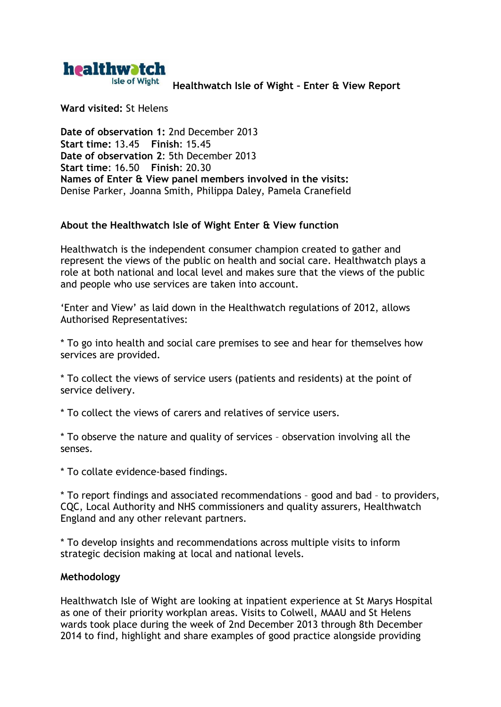

**Healthwatch Isle of Wight – Enter & View Report**

**Ward visited:** St Helens

**Date of observation 1:** 2nd December 2013 **Start time:** 13.45 **Finish**: 15.45 **Date of observation 2**: 5th December 2013 **Start time**: 16.50 **Finish**: 20.30 **Names of Enter & View panel members involved in the visits:** Denise Parker, Joanna Smith, Philippa Daley, Pamela Cranefield

# **About the Healthwatch Isle of Wight Enter & View function**

Healthwatch is the independent consumer champion created to gather and represent the views of the public on health and social care. Healthwatch plays a role at both national and local level and makes sure that the views of the public and people who use services are taken into account.

'Enter and View' as laid down in the Healthwatch regulations of 2012, allows Authorised Representatives:

\* To go into health and social care premises to see and hear for themselves how services are provided.

\* To collect the views of service users (patients and residents) at the point of service delivery.

\* To collect the views of carers and relatives of service users.

\* To observe the nature and quality of services – observation involving all the senses.

\* To collate evidence-based findings.

\* To report findings and associated recommendations – good and bad – to providers, CQC, Local Authority and NHS commissioners and quality assurers, Healthwatch England and any other relevant partners.

\* To develop insights and recommendations across multiple visits to inform strategic decision making at local and national levels.

## **Methodology**

Healthwatch Isle of Wight are looking at inpatient experience at St Marys Hospital as one of their priority workplan areas. Visits to Colwell, MAAU and St Helens wards took place during the week of 2nd December 2013 through 8th December 2014 to find, highlight and share examples of good practice alongside providing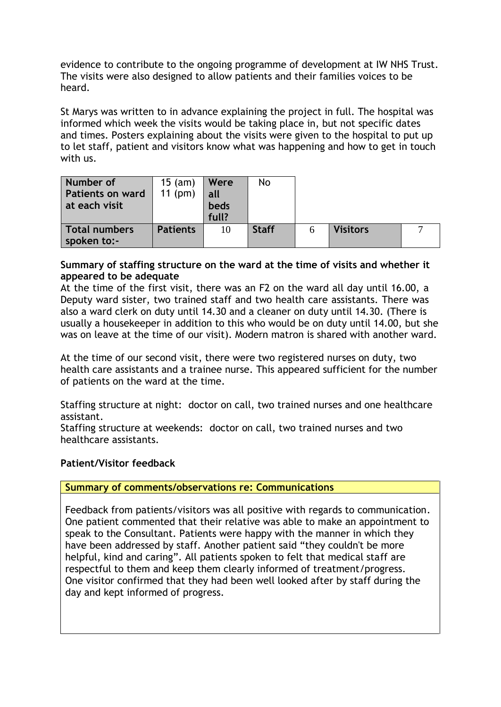evidence to contribute to the ongoing programme of development at IW NHS Trust. The visits were also designed to allow patients and their families voices to be heard.

St Marys was written to in advance explaining the project in full. The hospital was informed which week the visits would be taking place in, but not specific dates and times. Posters explaining about the visits were given to the hospital to put up to let staff, patient and visitors know what was happening and how to get in touch with us.

| Number of<br><b>Patients on ward</b><br>at each visit | $15$ (am)<br>$11$ (pm) | Were<br>all<br>beds<br>full? | No           |   |                 |  |
|-------------------------------------------------------|------------------------|------------------------------|--------------|---|-----------------|--|
| Total numbers<br>spoken to:-                          | <b>Patients</b>        | 10                           | <b>Staff</b> | 6 | <b>Visitors</b> |  |

# **Summary of staffing structure on the ward at the time of visits and whether it appeared to be adequate**

At the time of the first visit, there was an F2 on the ward all day until 16.00, a Deputy ward sister, two trained staff and two health care assistants. There was also a ward clerk on duty until 14.30 and a cleaner on duty until 14.30. (There is usually a housekeeper in addition to this who would be on duty until 14.00, but she was on leave at the time of our visit). Modern matron is shared with another ward.

At the time of our second visit, there were two registered nurses on duty, two health care assistants and a trainee nurse. This appeared sufficient for the number of patients on the ward at the time.

Staffing structure at night: doctor on call, two trained nurses and one healthcare assistant.

Staffing structure at weekends: doctor on call, two trained nurses and two healthcare assistants.

## **Patient/Visitor feedback**

## **Summary of comments/observations re: Communications**

Feedback from patients/visitors was all positive with regards to communication. One patient commented that their relative was able to make an appointment to speak to the Consultant. Patients were happy with the manner in which they have been addressed by staff. Another patient said "they couldn't be more helpful, kind and caring". All patients spoken to felt that medical staff are respectful to them and keep them clearly informed of treatment/progress. One visitor confirmed that they had been well looked after by staff during the day and kept informed of progress.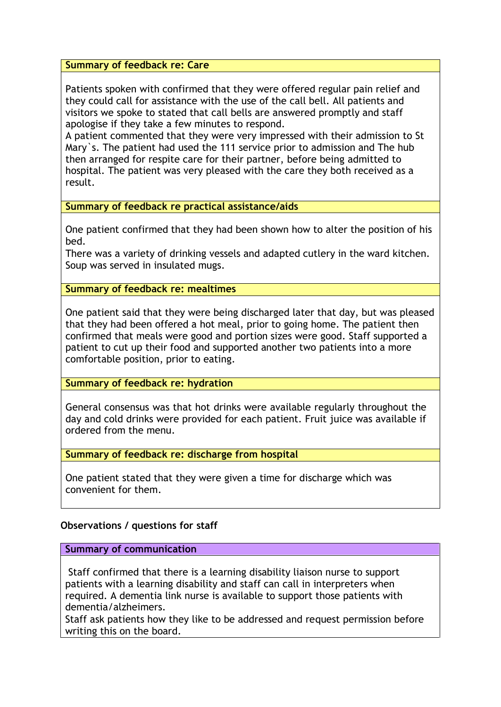**Summary of feedback re: Care**

Patients spoken with confirmed that they were offered regular pain relief and they could call for assistance with the use of the call bell. All patients and visitors we spoke to stated that call bells are answered promptly and staff apologise if they take a few minutes to respond.

A patient commented that they were very impressed with their admission to St Mary`s. The patient had used the 111 service prior to admission and The hub then arranged for respite care for their partner, before being admitted to hospital. The patient was very pleased with the care they both received as a result.

**Summary of feedback re practical assistance/aids**

One patient confirmed that they had been shown how to alter the position of his bed.

There was a variety of drinking vessels and adapted cutlery in the ward kitchen. Soup was served in insulated mugs.

**Summary of feedback re: mealtimes**

One patient said that they were being discharged later that day, but was pleased that they had been offered a hot meal, prior to going home. The patient then confirmed that meals were good and portion sizes were good. Staff supported a patient to cut up their food and supported another two patients into a more comfortable position, prior to eating.

**Summary of feedback re: hydration**

General consensus was that hot drinks were available regularly throughout the day and cold drinks were provided for each patient. Fruit juice was available if ordered from the menu.

**Summary of feedback re: discharge from hospital**

One patient stated that they were given a time for discharge which was convenient for them.

## **Observations / questions for staff**

**Summary of communication**

Staff confirmed that there is a learning disability liaison nurse to support patients with a learning disability and staff can call in interpreters when required. A dementia link nurse is available to support those patients with dementia/alzheimers.

Staff ask patients how they like to be addressed and request permission before writing this on the board.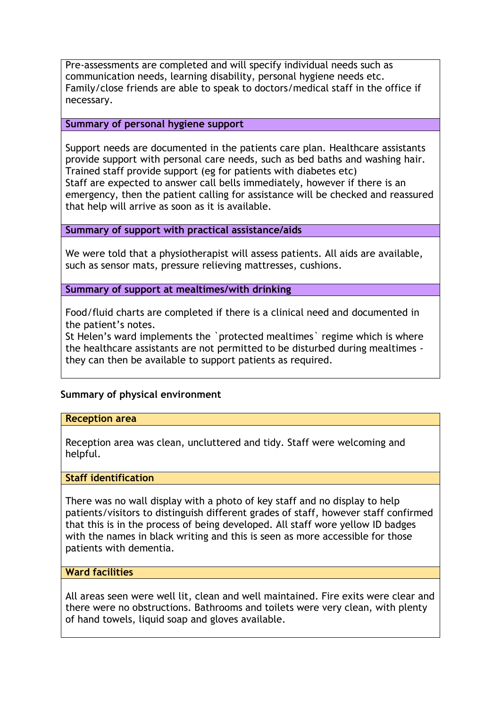Pre-assessments are completed and will specify individual needs such as communication needs, learning disability, personal hygiene needs etc. Family/close friends are able to speak to doctors/medical staff in the office if necessary.

### **Summary of personal hygiene support**

Support needs are documented in the patients care plan. Healthcare assistants provide support with personal care needs, such as bed baths and washing hair. Trained staff provide support (eg for patients with diabetes etc) Staff are expected to answer call bells immediately, however if there is an emergency, then the patient calling for assistance will be checked and reassured that help will arrive as soon as it is available.

### **Summary of support with practical assistance/aids**

We were told that a physiotherapist will assess patients. All aids are available, such as sensor mats, pressure relieving mattresses, cushions.

**Summary of support at mealtimes/with drinking**

Food/fluid charts are completed if there is a clinical need and documented in the patient's notes.

St Helen's ward implements the `protected mealtimes` regime which is where the healthcare assistants are not permitted to be disturbed during mealtimes they can then be available to support patients as required.

## **Summary of physical environment**

### **Reception area**

Reception area was clean, uncluttered and tidy. Staff were welcoming and helpful.

# **Staff identification**

There was no wall display with a photo of key staff and no display to help patients/visitors to distinguish different grades of staff, however staff confirmed that this is in the process of being developed. All staff wore yellow ID badges with the names in black writing and this is seen as more accessible for those patients with dementia.

### **Ward facilities**

All areas seen were well lit, clean and well maintained. Fire exits were clear and there were no obstructions. Bathrooms and toilets were very clean, with plenty of hand towels, liquid soap and gloves available.